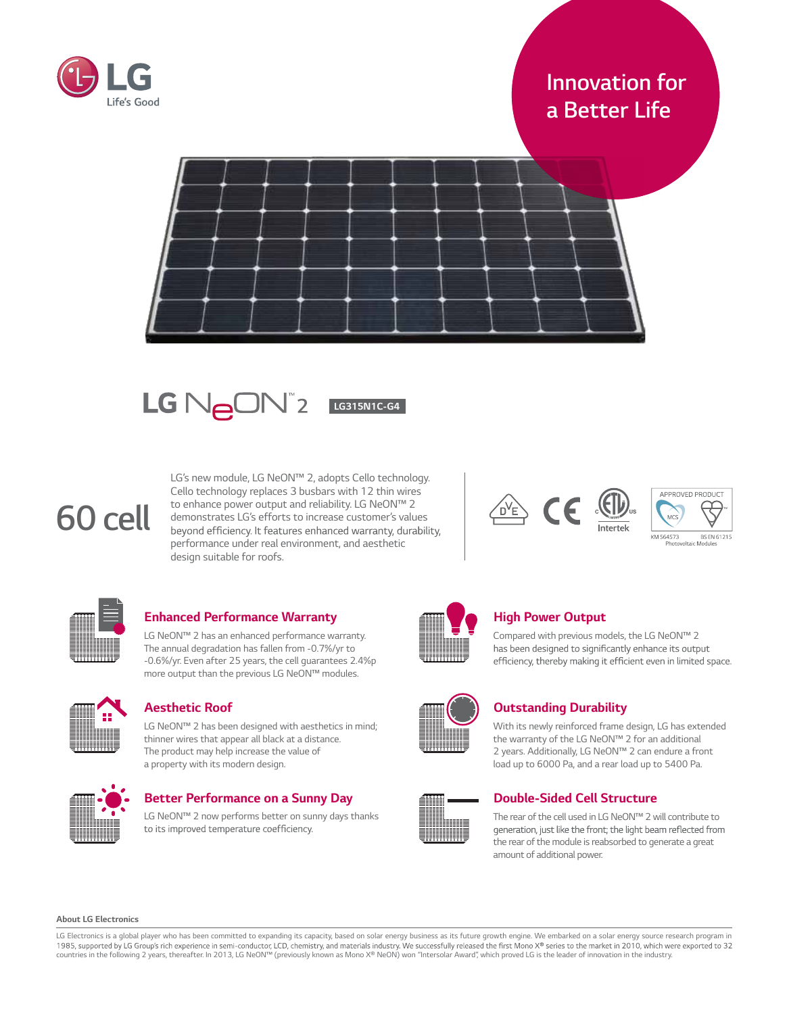

# *Innovation for a Better Life*





# *60 cell*

*LG's new module, LG NeON™ 2, adopts Cello technology. Cello technology replaces 3 busbars with 12 thin wires to enhance power output and reliability. LG NeON™ 2 demonstrates LG's efforts to increase customer's values performance under real environment, and aesthetic design suitable for roofs.*





# *Enhanced Performance Warranty*

*LG NeON™ 2 has an enhanced performance warranty. The annual degradation has fallen from -0.7%/yr to -0.6%/yr. Even after 25 years, the cell guarantees 2.4%p more output than the previous LG NeON™ modules.*



# *Aesthetic Roof*

*LG NeON™ 2 has been designed with aesthetics in mind; thinner wires that appear all black at a distance. The product may help increase the value of a property with its modern design.*



# *Better Performance on a Sunny Day*

*LG NeON™ 2 now performs better on sunny days thanks*  to its improved temperature coefficiency.



# *High Power Output*

*Compared with previous models, the LG NeON™ 2*  has been designed to significantly enhance its output efficiency, thereby making it efficient even in limited space.

# *Outstanding Durability*

*With its newly reinforced frame design, LG has extended the warranty of the LG NeON™ 2 for an additional 2 years. Additionally, LG NeON™ 2 can endure a front load up to 6000 Pa, and a rear load up to 5400 Pa.*

# *Double-Sided Cell Structure*

*The rear of the cell used in LG NeON™ 2 willcontribute to*  generation, just like the front; the light beam reflected from *the rear of the module isreabsorbed to generate a great amount of additional power.*

*About LG Electronics*

LG Electronics is a global player who has been committed to expanding its capacity, based on solar energy business as its future growth engine. We embarked on a solar energy source research program in<br>1985, supported by LG countries in the following 2 years, thereafter. In 2013, LG NeON™ (previously known as Mono X® NeON) won "Intersolar Award", which proved LG is the leader of innovation in the industry.